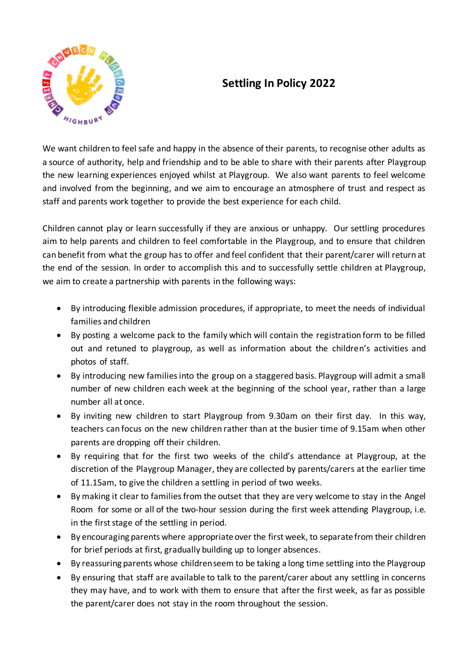

## **Settling In Policy 2022**

We want children to feel safe and happy in the absence of their parents, to recognise other adults as a source of authority, help and friendship and to be able to share with their parents after Playgroup the new learning experiences enjoyed whilst at Playgroup. We also want parents to feel welcome and involved from the beginning, and we aim to encourage an atmosphere of trust and respect as staff and parents work together to provide the best experience for each child.

Children cannot play or learn successfully if they are anxious or unhappy. Our settling procedures aim to help parents and children to feel comfortable in the Playgroup, and to ensure that children can benefit from what the group has to offer and feel confident that their parent/carer will return at the end of the session. In order to accomplish this and to successfully settle children at Playgroup, we aim to create a partnership with parents in the following ways:

- By introducing flexible admission procedures, if appropriate, to meet the needs of individual families and children
- By posting a welcome pack to the family which will contain the registration form to be filled out and retuned to playgroup, as well as information about the children's activities and photos of staff.
- By introducing new families into the group on a staggered basis. Playgroup will admit a small number of new children each week at the beginning of the school year, rather than a large number all at once.
- By inviting new children to start Playgroup from 9.30am on their first day. In this way, teachers can focus on the new children rather than at the busier time of 9.15am when other parents are dropping off their children.
- By requiring that for the first two weeks of the child's attendance at Playgroup, at the discretion of the Playgroup Manager, they are collected by parents/carers at the earlier time of 11.15am, to give the children a settling in period of two weeks.
- By making it clear to families from the outset that they are very welcome to stay in the Angel Room for some or all of the two-hour session during the first week attending Playgroup, i.e. in the first stage of the settling in period.
- By encouraging parents where appropriate over the first week, to separate from their children for brief periods at first, gradually building up to longer absences.
- By reassuring parents whose children seem to be taking a long time settling into the Playgroup
- By ensuring that staff are available to talk to the parent/carer about any settling in concerns they may have, and to work with them to ensure that after the first week, as far as possible the parent/carer does not stay in the room throughout the session.